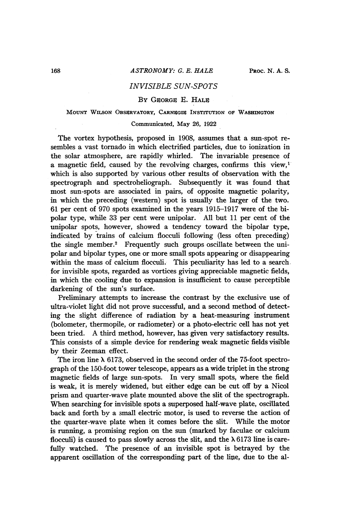## INVISIBLE SUN-SPOTS

### BY GEORGE E. HALE

#### MOUNT WILSON OBSERVATORY, CARNEGIE INSTITUTION OF WASHINGTON

#### Communicated, May 26, 1922

The vortex hypothesis, proposed in 1908, assumes that a sun-spot resembles a vast tornado in which electrified particles, due to ionization in the solar atmosphere, are rapidly whirled. The invariable presence of a magnetic field, caused by the revolving charges, confirms this view, $<sup>1</sup>$ </sup> which is also supported by various other results of observation with the spectrograph and spectroheliograph. Subsequently it was found that most sun-spots are associated in pairs, of opposite magnetic polarity, in which the preceding (western) spot is usually the larger of the two. 61 per cent of 970 spots examined in the years 1915-1917 were of the bipolar type, while 33 per cent were unipolar. All but 11 per cent of the unipolar spots, however, showed a tendency toward the bipolar type, indicated by trains of calcium flocculi following (less often preceding) the single member.<sup>2</sup> Frequently such groups oscillate between the unipolar and bipolar types, one or more small spots appearing or disappearing within the mass of calcium flocculi. This peculiarity has led to a search for invisible spots, regarded as vortices giving appreciable magnetic fields, in which the cooling due to expansion is insufficient to cause perceptible darkening of the sun's surface.

Preliminary attempts to increase the contrast by the exclusive use of ultra-violet light did not prove successful, and a second method of detecting the slight difference of radiation by a heat-measuring instrument (bolometer, thermopile, or radiometer) or a photo-electric cell has not yet been tried. A third method, however, has given very satisfactory results. This consists of a simple device for rendering weak magnetic fields visible by their Zeeman effect.

The iron line  $\lambda$  6173, observed in the second order of the 75-foot spectrograph of the 150-foot tower telescope, appears as a wide triplet in the strong magnetic fields of large sun-spots. In very small spots, where the field is weak, it is merely widened, but either edge can be cut off by a Nicol prism and quarter-wave plate mounted above the slit of the spectrograph. When searching for invisible spots a superposed half-wave plate, oscillated back and forth by a small electric motor, is used to reverse the action of the quarter-wave plate when it comes before the slit. While the motor is running, a promising region on the sun (marked by faculae or calcium flocculi) is caused to pass slowly across the slit, and the  $\lambda$  6173 line is carefully watched. The presence of an invisible spot is betrayed by the apparent oscillation of the corresponding part of the line, due to the al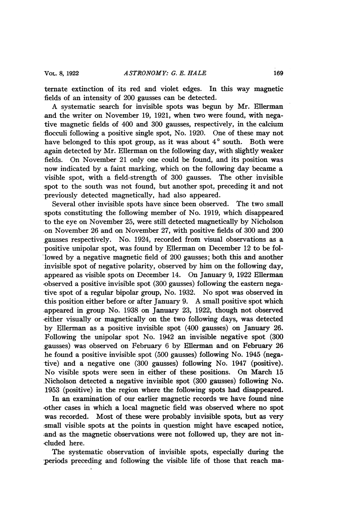ternate extinction of its red and violet edges. In this way magnetic fields of an intensity of 200 gausses can be detected.

A systematic search for invisible spots was begun by Mr. Ellerman and the writer on November 19, 1921, when two were found, with negative magnetic fields of 400 and 300 gausses, respectively, in the calcium flocculi following a positive single spot, No. 1920. One of these may not have belonged to this spot group, as it was about 4° south. Both were again detected by Mr. Ellerman on the following day, with slightly weaker fields. On November 21 only one could be found, and its position was -now indicated by a faint marking, which on the following day became a visible spot, with a field-strength of 300 gausses. The other invisible spot to the south was not found, but another spot, preceding it and not -previously detected magnetically, had also appeared.

Several other invisible spots have since been observed. The two small -spots constituting the following member of No. 1919, which disappeared -to the eye on November 25, were still detected magnetically by Nicholson on November 26 and on November 27, with positive fields of 300 and 200 gausses respectively. No. 1924, recorded from visual observations as a -positive unipolar spot, was found by Ellerman on December 12 to be followed by a negative magnetic field of 200 gausses; both this and another -invisible spot of negative polarity, observed by him on the following day, appeared as visible spots on December 14. On January 9, 1922 Ellerman -observed a positive invisible spot (300 gausses) following the eastern nega tive spot of a regular bipolar group, No. 1932. No spot was observed in -this position either before or after January 9. A small positive spot which -appeared in group No. 1938 on January 23, 1922, though not observed -either visually or magnetically on the two following days, was detected -by Ellerman as a positive invisible spot (400 gausses) on January 26. Following the unipolar spot No. 1942 an invisible negative spot (300 gausses) was observed on February 6 by Ellerman and on February 26 he found a positive invisible spot (500 gausses) following No. 1945 (nega tive) and a negative one (300 gausses) following No. 1947 (positive). No visible spots were seen in either of these positions. On March <sup>15</sup> Nicholson detected a negative invisible spot (300 gausses) following No. 1953 (positive) in the region where the following spots had disappeared.

In an examination of our earlier magnetic records we have found nine -other cases in which a local magnetic field was observed where no spot was recorded. Most of these were probably invisible spots, but as very -small visible spots at the points in question might have escaped notice, :and as the magnetic observations, were not followed up, they are not in cluded here.

The systematic observation of invisible spots, especially during the periods preceding and following the visible life of those that reach ma-